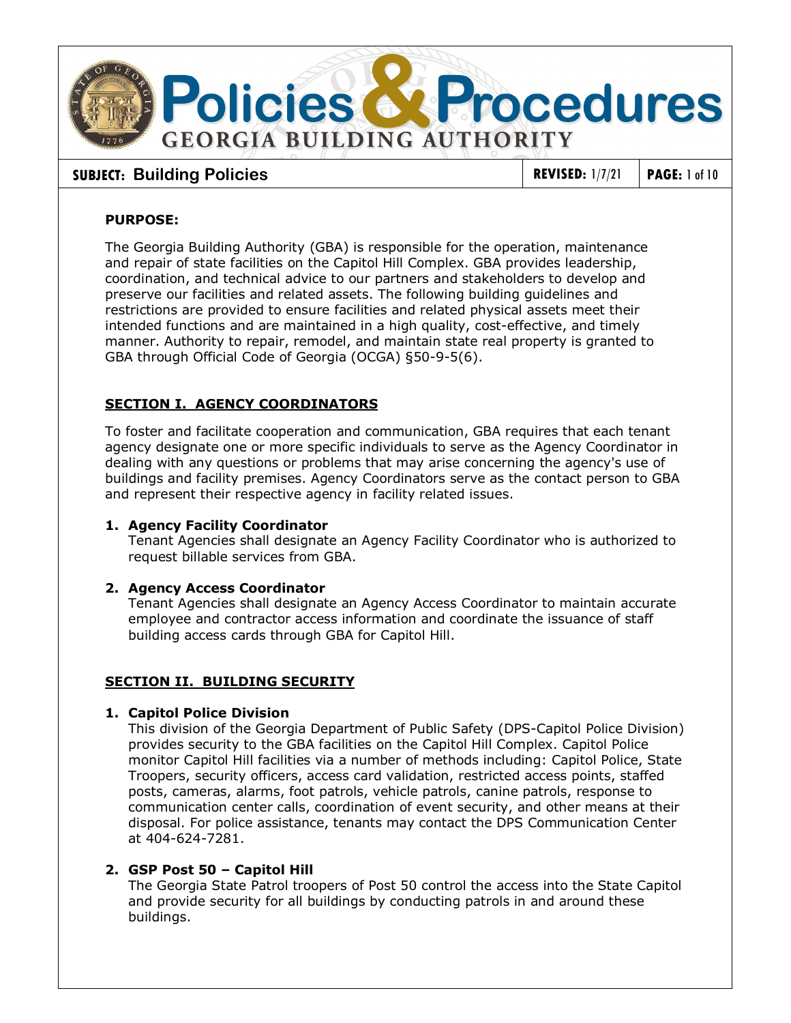

# **SUBJECT:** Building Policies **REVISED:** 1/7/21 PAGE: 1 of 10

# **PURPOSE:**

The Georgia Building Authority (GBA) is responsible for the operation, maintenance and repair of state facilities on the Capitol Hill Complex. GBA provides leadership, coordination, and technical advice to our partners and stakeholders to develop and preserve our facilities and related assets. The following building guidelines and restrictions are provided to ensure facilities and related physical assets meet their intended functions and are maintained in a high quality, cost-effective, and timely manner. Authority to repair, remodel, and maintain state real property is granted to GBA through Official Code of Georgia (OCGA) §50-9-5(6).

# **SECTION I. AGENCY COORDINATORS**

To foster and facilitate cooperation and communication, GBA requires that each tenant agency designate one or more specific individuals to serve as the Agency Coordinator in dealing with any questions or problems that may arise concerning the agency's use of buildings and facility premises. Agency Coordinators serve as the contact person to GBA and represent their respective agency in facility related issues.

## **1. Agency Facility Coordinator**

Tenant Agencies shall designate an Agency Facility Coordinator who is authorized to request billable services from GBA.

## **2. Agency Access Coordinator**

Tenant Agencies shall designate an Agency Access Coordinator to maintain accurate employee and contractor access information and coordinate the issuance of staff building access cards through GBA for Capitol Hill.

## **SECTION II. BUILDING SECURITY**

#### **1. Capitol Police Division**

This division of the Georgia [Department of Public Safety](http://dps.georgia.gov/02/dps/home/0,2228,5635600,00.html) (DPS-Capitol Police Division) provides security to the GBA facilities on the Capitol Hill Complex. Capitol Police monitor Capitol Hill facilities via a number of methods including: Capitol Police, State Troopers, security officers, access card validation, restricted access points, staffed posts, cameras, alarms, foot patrols, vehicle patrols, canine patrols, response to communication center calls, coordination of event security, and other means at their disposal. For police assistance, tenants may contact the DPS Communication Center at 404-624-7281.

## **2. GSP Post 50 – Capitol Hill**

The Georgia State Patrol troopers of Post 50 control the access into the State Capitol and provide security for all buildings by conducting patrols in and around these buildings.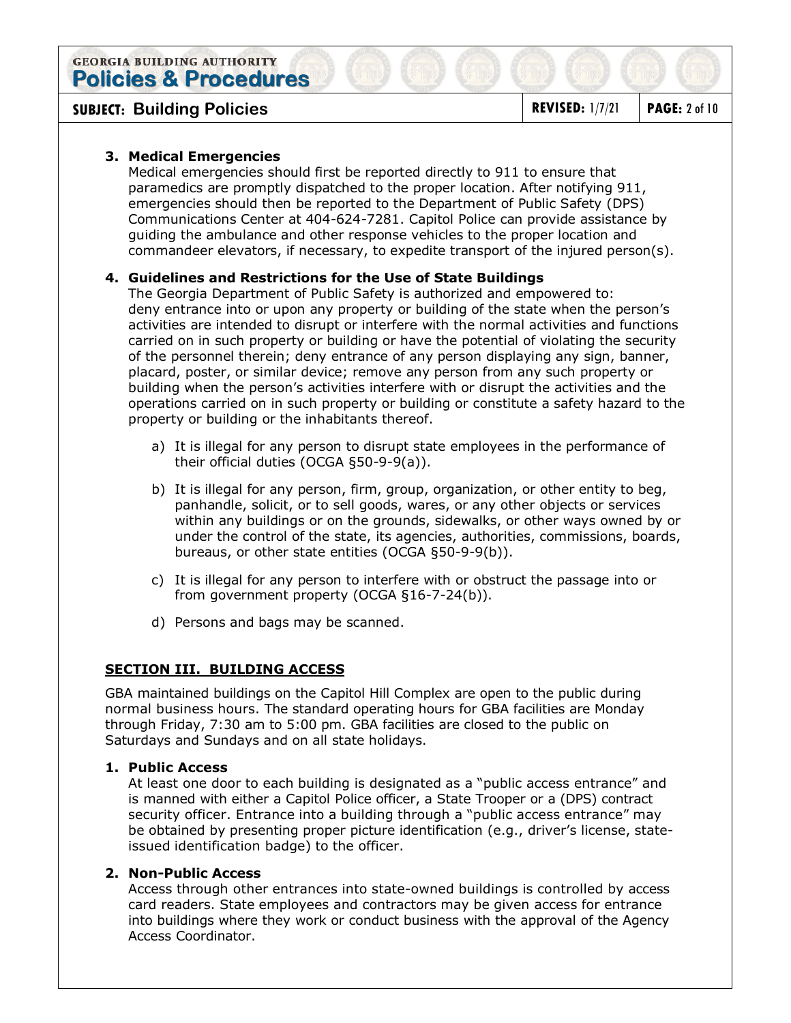# **SUBJECT:** Building Policies **REVISED:** 1/7/21 PAGE: 2 of 10

## **3. Medical Emergencies**

Medical emergencies should first be reported directly to 911 to ensure that paramedics are promptly dispatched to the proper location. After notifying 911, emergencies should then be reported to the Department of Public Safety (DPS) Communications Center at 404-624-7281. Capitol Police can provide assistance by guiding the ambulance and other response vehicles to the proper location and commandeer elevators, if necessary, to expedite transport of the injured person(s).

# **4. Guidelines and Restrictions for the Use of State Buildings**

The Georgia Department of Public Safety is authorized and empowered to: deny entrance into or upon any property or building of the state when the person's activities are intended to disrupt or interfere with the normal activities and functions carried on in such property or building or have the potential of violating the security of the personnel therein; deny entrance of any person displaying any sign, banner, placard, poster, or similar device; remove any person from any such property or building when the person's activities interfere with or disrupt the activities and the operations carried on in such property or building or constitute a safety hazard to the property or building or the inhabitants thereof.

- a) It is illegal for any person to disrupt state employees in the performance of their official duties (OCGA §50-9-9(a)).
- b) It is illegal for any person, firm, group, organization, or other entity to beg, panhandle, solicit, or to sell goods, wares, or any other objects or services within any buildings or on the grounds, sidewalks, or other ways owned by or under the control of the state, its agencies, authorities, commissions, boards, bureaus, or other state entities (OCGA §50-9-9(b)).
- c) It is illegal for any person to interfere with or obstruct the passage into or from government property (OCGA §16-7-24(b)).
- d) Persons and bags may be scanned.

## **SECTION III. BUILDING ACCESS**

GBA maintained buildings on the Capitol Hill Complex are open to the public during normal business hours. The standard operating hours for GBA facilities are Monday through Friday, 7:30 am to 5:00 pm. GBA facilities are closed to the public on Saturdays and Sundays and on all state holidays.

#### **1. Public Access**

At least one door to each building is designated as a "public access entrance" and is manned with either a Capitol Police officer, a State Trooper or a (DPS) contract security officer. Entrance into a building through a "public access entrance" may be obtained by presenting proper picture identification (e.g., driver's license, stateissued identification badge) to the officer.

## **2. Non-Public Access**

Access through other entrances into state-owned buildings is controlled by access card readers. State employees and contractors may be given access for entrance into buildings where they work or conduct business with the approval of the Agency Access Coordinator.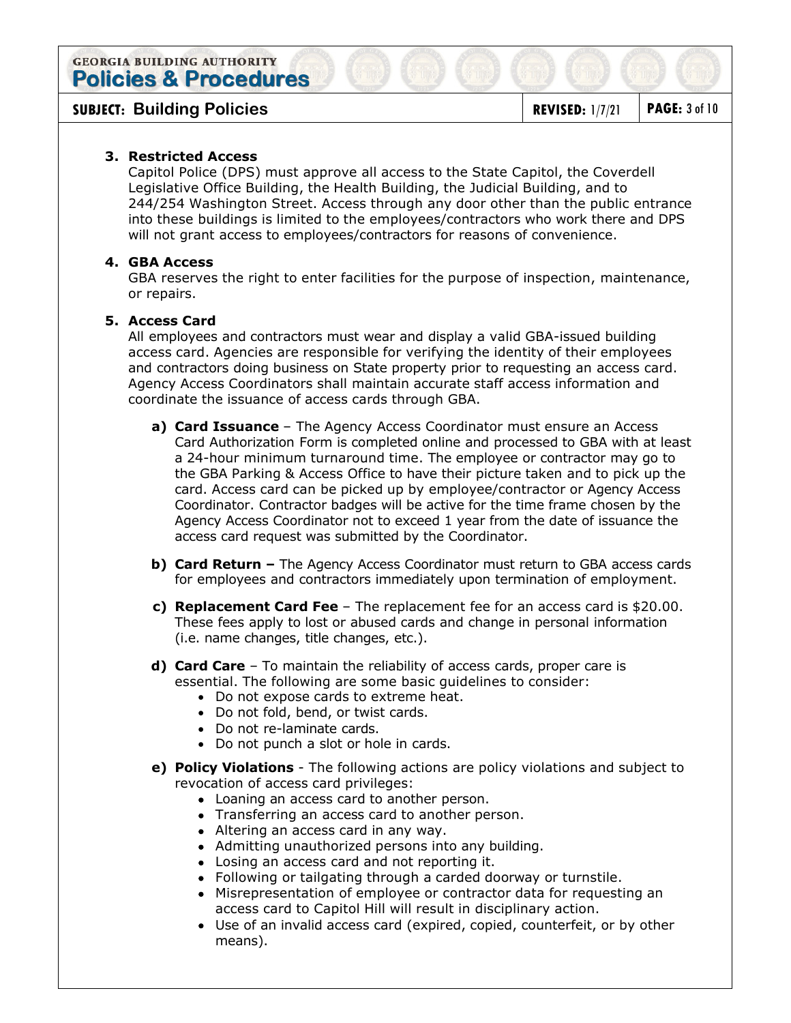**SUBJECT:** Building Policies **REVISED:** 1/7/21 PAGE: 3 of 10

# **3. Restricted Access**

Capitol Police (DPS) must approve all access to the State Capitol, the Coverdell Legislative Office Building, the Health Building, the Judicial Building, and to 244/254 Washington Street. Access through any door other than the public entrance into these buildings is limited to the employees/contractors who work there and DPS will not grant access to employees/contractors for reasons of convenience.

# **4. GBA Access**

GBA reserves the right to enter facilities for the purpose of inspection, maintenance, or repairs.

## **5. Access Card**

All employees and contractors must wear and display a valid GBA-issued building access card. Agencies are responsible for verifying the identity of their employees and contractors doing business on State property prior to requesting an access card. Agency Access Coordinators shall maintain accurate staff access information and coordinate the issuance of access cards through GBA.

- **a) Card Issuance** The Agency Access Coordinator must ensure an Access Card Authorization Form is completed online and processed to GBA with at least a 24-hour minimum turnaround time. The employee or contractor may go to the GBA Parking & Access Office to have their picture taken and to pick up the card. Access card can be picked up by employee/contractor or Agency Access Coordinator. Contractor badges will be active for the time frame chosen by the Agency Access Coordinator not to exceed 1 year from the date of issuance the access card request was submitted by the Coordinator.
- **b) Card Return** The Agency Access Coordinator must return to GBA access cards for employees and contractors immediately upon termination of employment.
- **c) Replacement Card Fee**  The replacement fee for an access card is \$20.00. These fees apply to lost or abused cards and change in personal information (i.e. name changes, title changes, etc.).
- **d) Card Care** To maintain the reliability of access cards, proper care is essential. The following are some basic guidelines to consider:
	- Do not expose cards to extreme heat.
	- Do not fold, bend, or twist cards.
	- Do not re-laminate cards.
	- Do not punch a slot or hole in cards.
- **e) Policy Violations** The following actions are policy violations and subject to revocation of access card privileges:
	- Loaning an access card to another person.
	- Transferring an access card to another person.
	- Altering an access card in any way.
	- Admitting unauthorized persons into any building.
	- Losing an access card and not reporting it.
	- Following or tailgating through a carded doorway or turnstile.
	- Misrepresentation of employee or contractor data for requesting an access card to Capitol Hill will result in disciplinary action.
	- Use of an invalid access card (expired, copied, counterfeit, or by other means).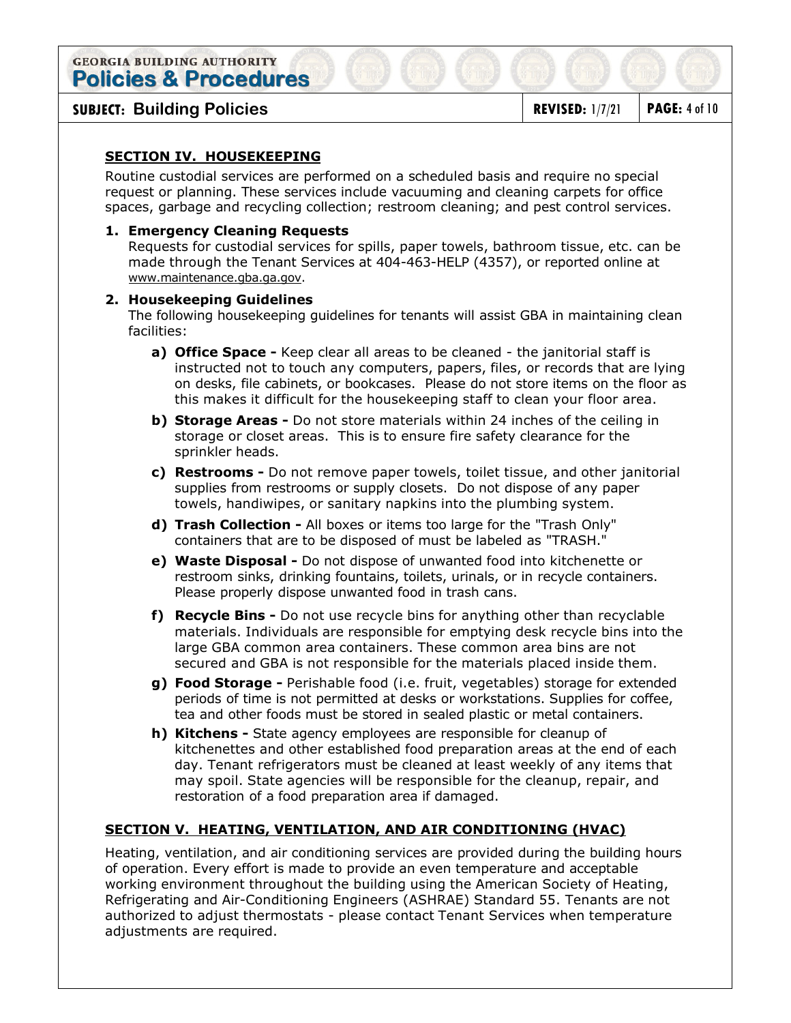**SUBJECT:** Building Policies **REVISED:** 1/7/21 PAGE: 4 of 10

# **SECTION IV. HOUSEKEEPING**

Routine custodial services are performed on a scheduled basis and require no special request or planning. These services include vacuuming and cleaning carpets for office spaces, garbage and recycling collection; restroom cleaning; and pest control services.

## **1. Emergency Cleaning Requests**

Requests for custodial services for spills, paper towels, bathroom tissue, etc. can be made through the Tenant Services at 404-463-HELP (4357), or reported online at [www.maintenance.gba.ga.gov.](http://www.maintenance.gba.ga.gov/)

## **2. Housekeeping Guidelines**

The following housekeeping guidelines for tenants will assist GBA in maintaining clean facilities:

- **a) Office Space** Keep clear all areas to be cleaned the janitorial staff is instructed not to touch any computers, papers, files, or records that are lying on desks, file cabinets, or bookcases. Please do not store items on the floor as this makes it difficult for the housekeeping staff to clean your floor area.
- **b) Storage Areas** Do not store materials within 24 inches of the ceiling in storage or closet areas. This is to ensure fire safety clearance for the sprinkler heads.
- **c) Restrooms** Do not remove paper towels, toilet tissue, and other janitorial supplies from restrooms or supply closets. Do not dispose of any paper towels, handiwipes, or sanitary napkins into the plumbing system.
- **d) Trash Collection** All boxes or items too large for the "Trash Only" containers that are to be disposed of must be labeled as "TRASH."
- **e) Waste Disposal** Do not dispose of unwanted food into kitchenette or restroom sinks, drinking fountains, toilets, urinals, or in recycle containers. Please properly dispose unwanted food in trash cans.
- **f) Recycle Bins** Do not use recycle bins for anything other than recyclable materials. Individuals are responsible for emptying desk recycle bins into the large GBA common area containers. These common area bins are not secured and GBA is not responsible for the materials placed inside them.
- **g) Food Storage** Perishable food (i.e. fruit, vegetables) storage for extended periods of time is not permitted at desks or workstations. Supplies for coffee, tea and other foods must be stored in sealed plastic or metal containers.
- **h) Kitchens** State agency employees are responsible for cleanup of kitchenettes and other established food preparation areas at the end of each day. Tenant refrigerators must be cleaned at least weekly of any items that may spoil. State agencies will be responsible for the cleanup, repair, and restoration of a food preparation area if damaged.

## **SECTION V. HEATING, VENTILATION, AND AIR CONDITIONING (HVAC)**

Heating, ventilation, and air conditioning services are provided during the building hours of operation. Every effort is made to provide an even temperature and acceptable working environment throughout the building using the American Society of Heating, Refrigerating and Air-Conditioning Engineers (ASHRAE) Standard 55. Tenants are not authorized to adjust thermostats - please contact Tenant Services when temperature adjustments are required.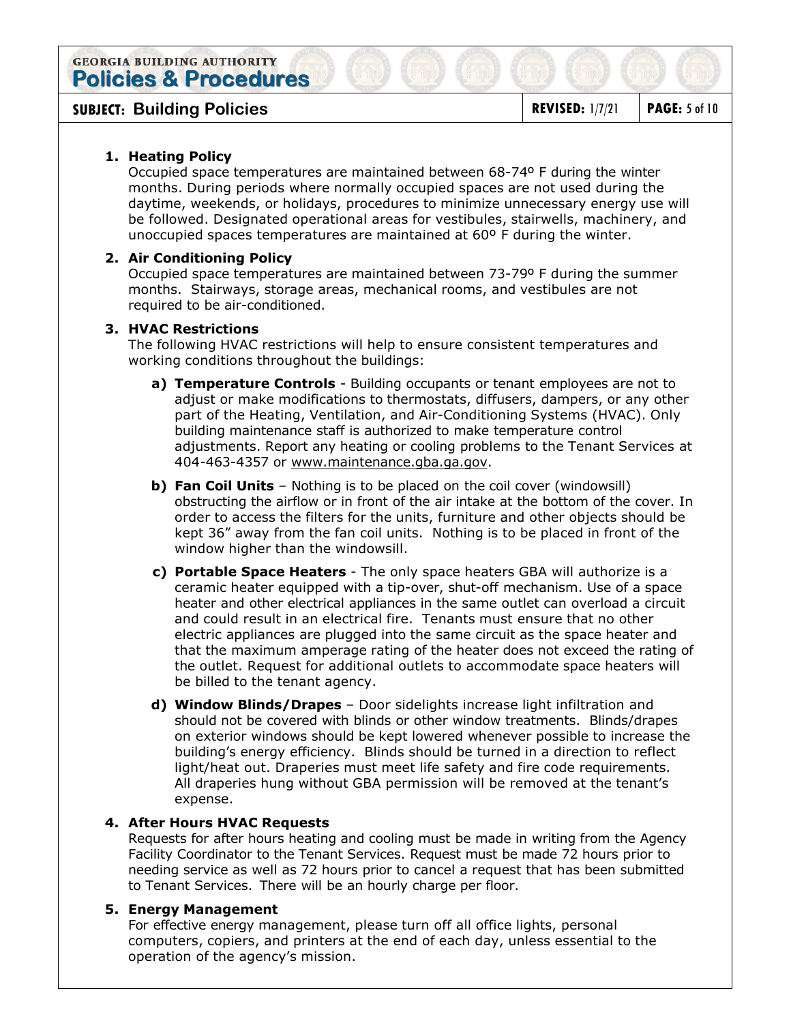**SUBJECT:** Building Policies **REVISED:** 1/7/21 PAGE: 5 of 10

# **1. Heating Policy**

Occupied space temperatures are maintained between 68-74º F during the winter months. During periods where normally occupied spaces are not used during the daytime, weekends, or holidays, procedures to minimize unnecessary energy use will be followed. Designated operational areas for vestibules, stairwells, machinery, and unoccupied spaces temperatures are maintained at 60º F during the winter.

# **2. Air Conditioning Policy**

Occupied space temperatures are maintained between 73-79º F during the summer months. Stairways, storage areas, mechanical rooms, and vestibules are not required to be air-conditioned.

# **3. HVAC Restrictions**

The following HVAC restrictions will help to ensure consistent temperatures and working conditions throughout the buildings:

- **a) Temperature Controls** Building occupants or tenant employees are not to adjust or make modifications to thermostats, diffusers, dampers, or any other part of the Heating, Ventilation, and Air-Conditioning Systems (HVAC). Only building maintenance staff is authorized to make temperature control adjustments. Report any heating or cooling problems to the Tenant Services at 404-463-4357 or www.maintenance.gba.ga.gov.
- **b) Fan Coil Units** Nothing is to be placed on the coil cover (windowsill) obstructing the airflow or in front of the air intake at the bottom of the cover. In order to access the filters for the units, furniture and other objects should be kept 36" away from the fan coil units. Nothing is to be placed in front of the window higher than the windowsill.
- **c) Portable Space Heaters** The only space heaters GBA will authorize is a ceramic heater equipped with a tip-over, shut-off mechanism. Use of a space heater and other electrical appliances in the same outlet can overload a circuit and could result in an electrical fire. Tenants must ensure that no other electric appliances are plugged into the same circuit as the space heater and that the maximum amperage rating of the heater does not exceed the rating of the outlet. Request for additional outlets to accommodate space heaters will be billed to the tenant agency.
- **d) Window Blinds/Drapes** Door sidelights increase light infiltration and should not be covered with blinds or other window treatments. Blinds/drapes on exterior windows should be kept lowered whenever possible to increase the building's energy efficiency. Blinds should be turned in a direction to reflect light/heat out. Draperies must meet life safety and fire code requirements. All draperies hung without GBA permission will be removed at the tenant's expense.

## **4. After Hours HVAC Requests**

Requests for after hours heating and cooling must be made in writing from the Agency Facility Coordinator to the Tenant Services. Request must be made 72 hours prior to needing service as well as 72 hours prior to cancel a request that has been submitted to Tenant Services. There will be an hourly charge per floor.

## **5. Energy Management**

For effective energy management, please turn off all office lights, personal computers, copiers, and printers at the end of each day, unless essential to the operation of the agency's mission.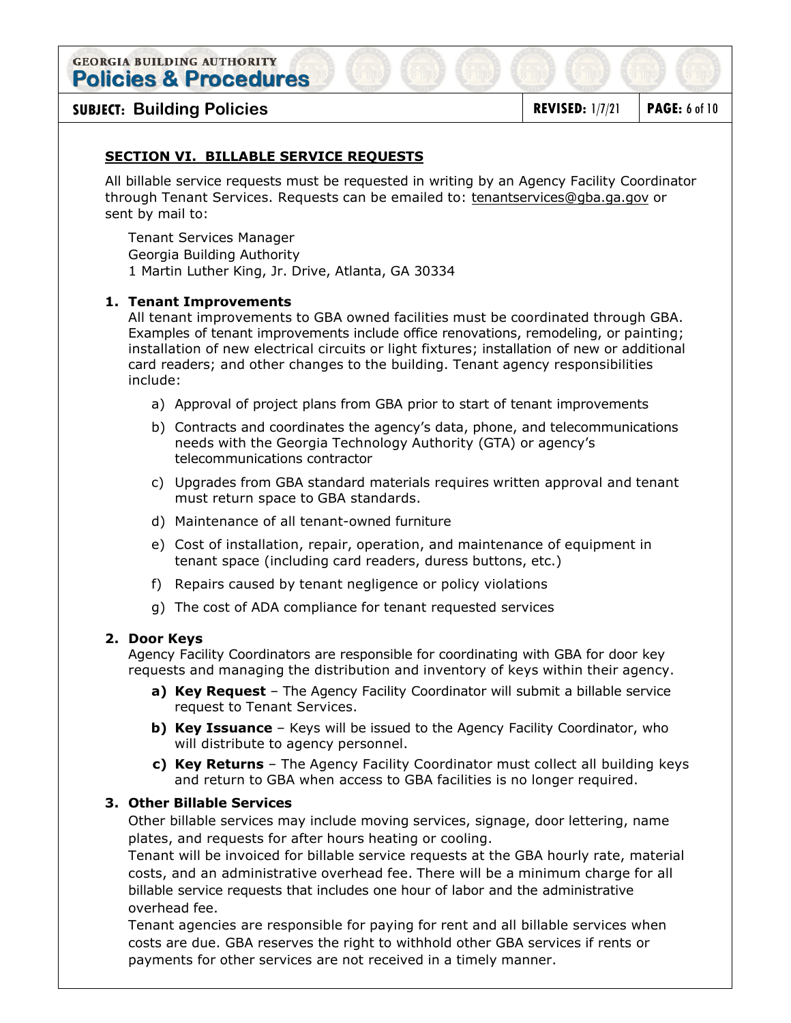**SUBJECT: Building Policies REVISED:** 1/7/21 **PAGE:** 6 of 10

# **SECTION VI. BILLABLE SERVICE REQUESTS**

All billable service requests must be requested in writing by an Agency Facility Coordinator through Tenant Services. Requests can be emailed to: [tenantservices](mailto:workcontrol@gba.ga.gov)@gba.ga.gov or sent by mail to:

Tenant Services Manager Georgia Building Authority 1 Martin Luther King, Jr. Drive, Atlanta, GA 30334

# **1. Tenant Improvements**

All tenant improvements to GBA owned facilities must be coordinated through GBA. Examples of tenant improvements include office renovations, remodeling, or painting; installation of new electrical circuits or light fixtures; installation of new or additional card readers; and other changes to the building. Tenant agency responsibilities include:

- a) Approval of project plans from GBA prior to start of tenant improvements
- b) Contracts and coordinates the agency's data, phone, and telecommunications needs with the Georgia Technology Authority (GTA) or agency's telecommunications contractor
- c) Upgrades from GBA standard materials requires written approval and tenant must return space to GBA standards.
- d) Maintenance of all tenant-owned furniture
- e) Cost of installation, repair, operation, and maintenance of equipment in tenant space (including card readers, duress buttons, etc.)
- f) Repairs caused by tenant negligence or policy violations
- g) The cost of ADA compliance for tenant requested services

## **2. Door Keys**

Agency Facility Coordinators are responsible for coordinating with GBA for door key requests and managing the distribution and inventory of keys within their agency.

- **a) Key Request** The Agency Facility Coordinator will submit a billable service request to Tenant Services.
- **b) Key Issuance** Keys will be issued to the Agency Facility Coordinator, who will distribute to agency personnel.
- **c) Key Returns** The Agency Facility Coordinator must collect all building keys and return to GBA when access to GBA facilities is no longer required.

## **3. Other Billable Services**

Other billable services may include moving services, signage, door lettering, name plates, and requests for after hours heating or cooling.

Tenant will be invoiced for billable service requests at the GBA hourly rate, material costs, and an administrative overhead fee. There will be a minimum charge for all billable service requests that includes one hour of labor and the administrative overhead fee.

Tenant agencies are responsible for paying for rent and all billable services when costs are due. GBA reserves the right to withhold other GBA services if rents or payments for other services are not received in a timely manner.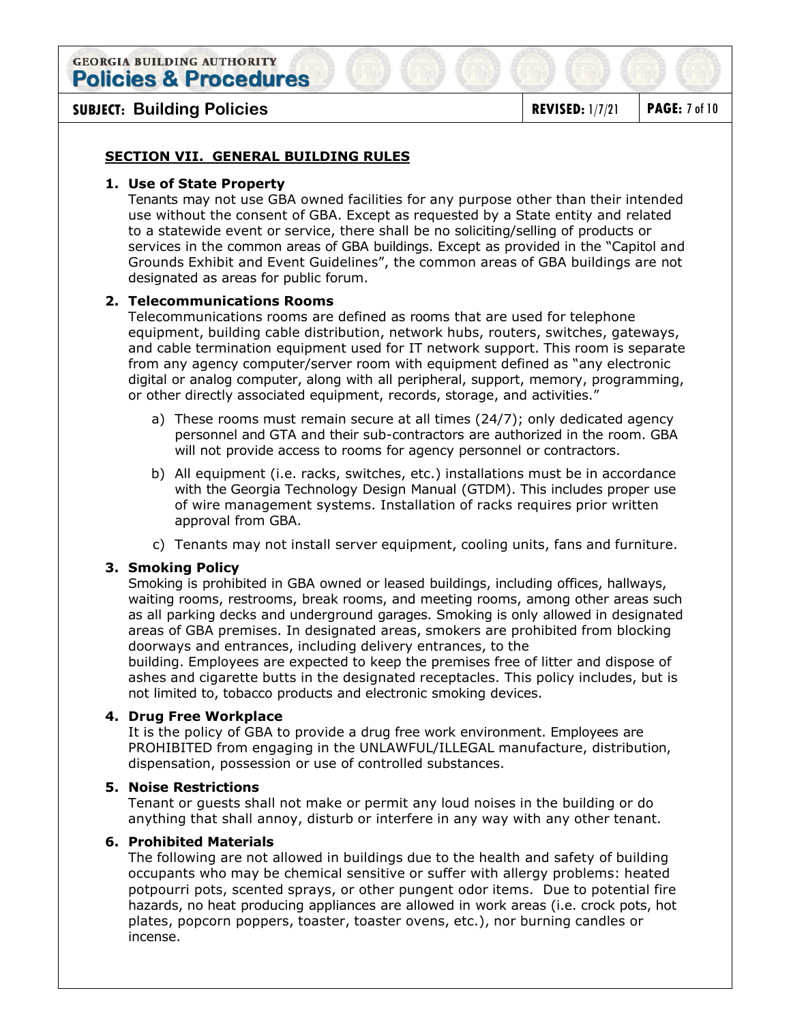# **SUBJECT:** Building Policies **REVISED:** 1/7/21 PAGE: 7 of 10

# **SECTION VII. GENERAL BUILDING RULES**

#### **1. Use of State Property**

Tenants may not use GBA owned facilities for any purpose other than their intended use without the consent of GBA. Except as requested by a State entity and related to a statewide event or service, there shall be no soliciting/selling of products or services in the common areas of GBA buildings. Except as provided in the "Capitol and Grounds Exhibit and Event Guidelines", the common areas of GBA buildings are not designated as areas for public forum.

## **2. Telecommunications Rooms**

Telecommunications rooms are defined as rooms that are used for telephone equipment, building cable distribution, network hubs, routers, switches, gateways, and cable termination equipment used for IT network support. This room is separate from any agency computer/server room with equipment defined as "any electronic digital or analog computer, along with all peripheral, support, memory, programming, or other directly associated equipment, records, storage, and activities."

- a) These rooms must remain secure at all times (24/7); only dedicated agency personnel and GTA and their sub-contractors are authorized in the room. GBA will not provide access to rooms for agency personnel or contractors.
- b) All equipment (i.e. racks, switches, etc.) installations must be in accordance with the Georgia Technology Design Manual (GTDM). This includes proper use of wire management systems. Installation of racks requires prior written approval from GBA.
- c) Tenants may not install server equipment, cooling units, fans and furniture.

## **3. Smoking Policy**

Smoking is prohibited in GBA owned or leased buildings, including offices, hallways, waiting rooms, restrooms, break rooms, and meeting rooms, among other areas such as all parking decks and underground garages. Smoking is only allowed in designated areas of GBA premises. In designated areas, smokers are prohibited from blocking doorways and entrances, including delivery entrances, to the building. Employees are expected to keep the premises free of litter and dispose of

ashes and cigarette butts in the designated receptacles. This policy includes, but is not limited to, tobacco products and electronic smoking devices.

## **4. Drug Free Workplace**

It is the policy of GBA to provide a drug free work environment. Employees are PROHIBITED from engaging in the UNLAWFUL/ILLEGAL manufacture, distribution, dispensation, possession or use of controlled substances.

#### **5. Noise Restrictions**

Tenant or guests shall not make or permit any loud noises in the building or do anything that shall annoy, disturb or interfere in any way with any other tenant.

#### **6. Prohibited Materials**

The following are not allowed in buildings due to the health and safety of building occupants who may be chemical sensitive or suffer with allergy problems: heated potpourri pots, scented sprays, or other pungent odor items. Due to potential fire hazards, no heat producing appliances are allowed in work areas (i.e. crock pots, hot plates, popcorn poppers, toaster, toaster ovens, etc.), nor burning candles or incense.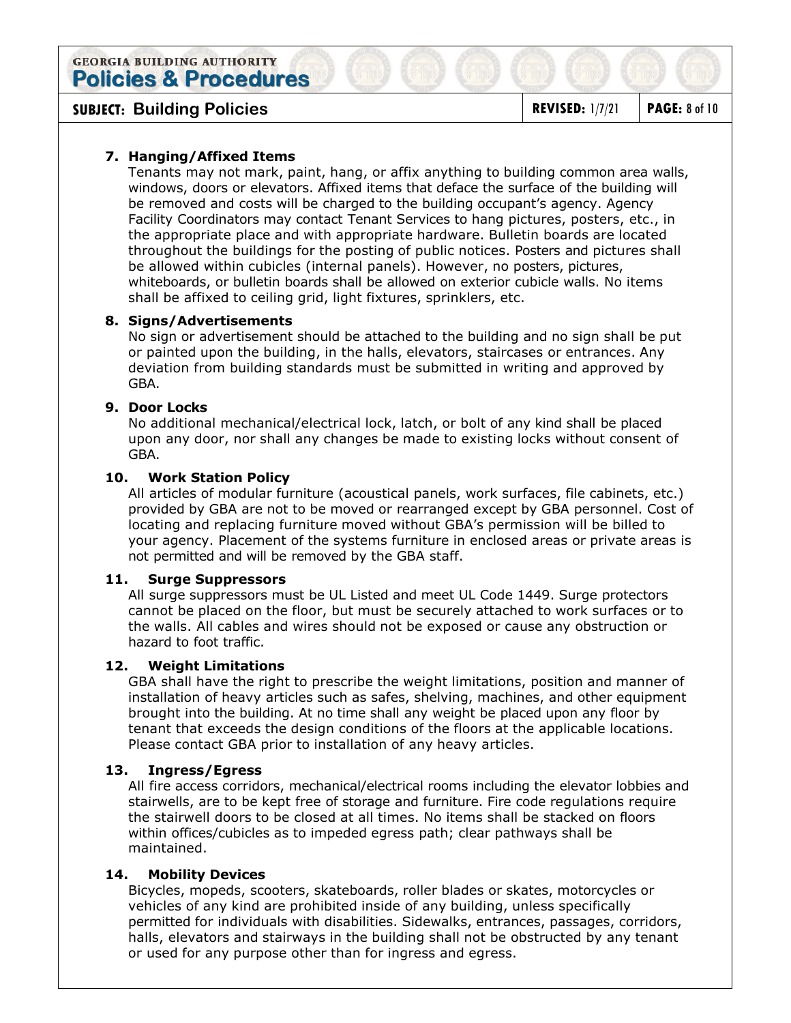**SUBJECT:** Building Policies **REVISED:** 1/7/21 PAGE: 8 of 10

# **7. Hanging/Affixed Items**

Tenants may not mark, paint, hang, or affix anything to building common area walls, windows, doors or elevators. Affixed items that deface the surface of the building will be removed and costs will be charged to the building occupant's agency. Agency Facility Coordinators may contact Tenant Services to hang pictures, posters, etc., in the appropriate place and with appropriate hardware. Bulletin boards are located throughout the buildings for the posting of public notices. Posters and pictures shall be allowed within cubicles (internal panels). However, no posters, pictures, whiteboards, or bulletin boards shall be allowed on exterior cubicle walls. No items shall be affixed to ceiling grid, light fixtures, sprinklers, etc.

## **8. Signs/Advertisements**

No sign or advertisement should be attached to the building and no sign shall be put or painted upon the building, in the halls, elevators, staircases or entrances. Any deviation from building standards must be submitted in writing and approved by GBA.

## **9. Door Locks**

No additional mechanical/electrical lock, latch, or bolt of any kind shall be placed upon any door, nor shall any changes be made to existing locks without consent of GBA.

### **10. Work Station Policy**

All articles of modular furniture (acoustical panels, work surfaces, file cabinets, etc.) provided by GBA are not to be moved or rearranged except by GBA personnel. Cost of locating and replacing furniture moved without GBA's permission will be billed to your agency. Placement of the systems furniture in enclosed areas or private areas is not permitted and will be removed by the GBA staff.

#### **11. Surge Suppressors**

All surge suppressors must be UL Listed and meet UL Code 1449. Surge protectors cannot be placed on the floor, but must be securely attached to work surfaces or to the walls. All cables and wires should not be exposed or cause any obstruction or hazard to foot traffic.

## **12. Weight Limitations**

GBA shall have the right to prescribe the weight limitations, position and manner of installation of heavy articles such as safes, shelving, machines, and other equipment brought into the building. At no time shall any weight be placed upon any floor by tenant that exceeds the design conditions of the floors at the applicable locations. Please contact GBA prior to installation of any heavy articles.

## **13. Ingress/Egress**

All fire access corridors, mechanical/electrical rooms including the elevator lobbies and stairwells, are to be kept free of storage and furniture. Fire code regulations require the stairwell doors to be closed at all times. No items shall be stacked on floors within offices/cubicles as to impeded egress path; clear pathways shall be maintained.

## **14. Mobility Devices**

Bicycles, mopeds, scooters, skateboards, roller blades or skates, motorcycles or vehicles of any kind are prohibited inside of any building, unless specifically permitted for individuals with disabilities. Sidewalks, entrances, passages, corridors, halls, elevators and stairways in the building shall not be obstructed by any tenant or used for any purpose other than for ingress and egress.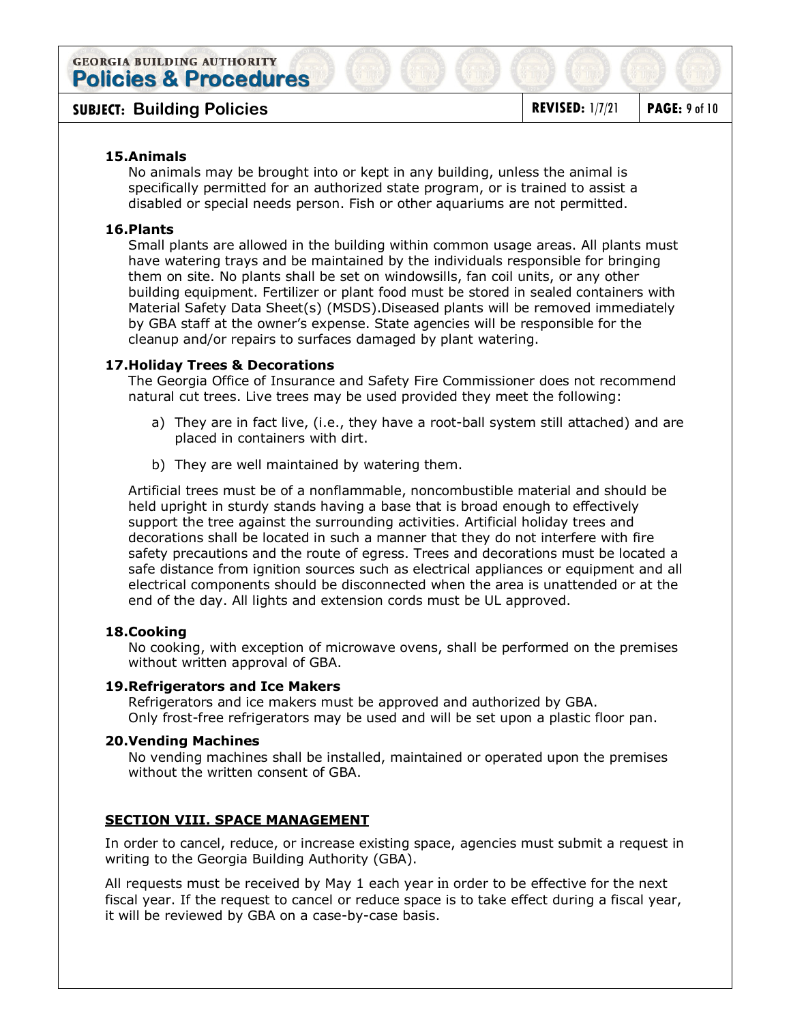# **SUBJECT:** Building Policies **REVISED:** 1/7/21 PAGE: 9 of 10

## **15.Animals**

No animals may be brought into or kept in any building, unless the animal is specifically permitted for an authorized state program, or is trained to assist a disabled or special needs person. Fish or other aquariums are not permitted.

### **16.Plants**

Small plants are allowed in the building within common usage areas. All plants must have watering trays and be maintained by the individuals responsible for bringing them on site. No plants shall be set on windowsills, fan coil units, or any other building equipment. Fertilizer or plant food must be stored in sealed containers with Material Safety Data Sheet(s) (MSDS).Diseased plants will be removed immediately by GBA staff at the owner's expense. State agencies will be responsible for the cleanup and/or repairs to surfaces damaged by plant watering.

#### **17.Holiday Trees & Decorations**

The Georgia Office of Insurance and Safety Fire Commissioner does not recommend natural cut trees. Live trees may be used provided they meet the following:

- a) They are in fact live, (i.e., they have a root-ball system still attached) and are placed in containers with dirt.
- b) They are well maintained by watering them.

Artificial trees must be of a nonflammable, noncombustible material and should be held upright in sturdy stands having a base that is broad enough to effectively support the tree against the surrounding activities. Artificial holiday trees and decorations shall be located in such a manner that they do not interfere with fire safety precautions and the route of egress. Trees and decorations must be located a safe distance from ignition sources such as electrical appliances or equipment and all electrical components should be disconnected when the area is unattended or at the end of the day. All lights and extension cords must be UL approved.

#### **18.Cooking**

No cooking, with exception of microwave ovens, shall be performed on the premises without written approval of GBA.

#### **19.Refrigerators and Ice Makers**

Refrigerators and ice makers must be approved and authorized by GBA. Only frost-free refrigerators may be used and will be set upon a plastic floor pan.

#### **20.Vending Machines**

No vending machines shall be installed, maintained or operated upon the premises without the written consent of GBA.

## **SECTION VIII. SPACE MANAGEMENT**

In order to cancel, reduce, or increase existing space, agencies must submit a request in writing to the Georgia Building Authority (GBA).

All requests must be received by May 1 each year in order to be effective for the next fiscal year. If the request to cancel or reduce space is to take effect during a fiscal year, it will be reviewed by GBA on a case-by-case basis.